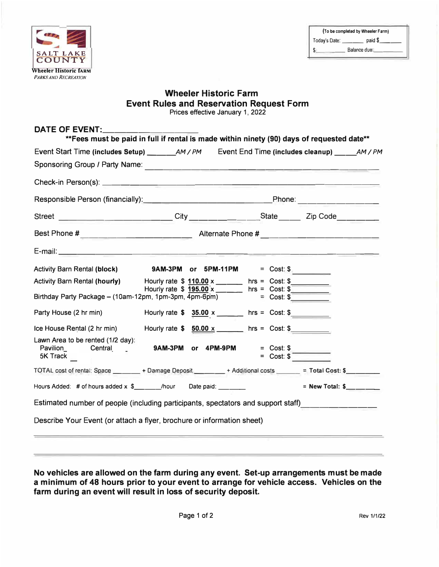

# **Wheeler Historic Farm Event Rules and Reservation Request Form**

Prices effective January 1, 2022

| Street __________________________City _________________State ___________Zip Code___________________            |                                                                                       |                            |
|----------------------------------------------------------------------------------------------------------------|---------------------------------------------------------------------------------------|----------------------------|
|                                                                                                                |                                                                                       |                            |
|                                                                                                                |                                                                                       |                            |
| <b>Activity Barn Rental (block)</b>                                                                            | 9AM-3PM or 5PM-11PM = $Cost: $$                                                       |                            |
| Activity Barn Rental (hourly) Hourly rate \$ 110.00 x ______ hrs = Cost: \$                                    |                                                                                       |                            |
| Birthday Party Package – (10am-12pm, 1pm-3pm, $\frac{195.00}{4} \times \frac{1}{200}$ hrs = Cost: \$           |                                                                                       |                            |
| Party House (2 hr min)                                                                                         | Hourly rate $\frac{35.00 \times 10^{-11} \text{ N}}{25.00 \times 10^{-11} \text{ N}}$ |                            |
| Ice House Rental (2 hr min)                                                                                    | Hourly rate $$ 50.00 x$ = hrs = Cost: $$$                                             |                            |
| Lawn Area to be rented (1/2 day):<br>5K Track                                                                  | 9AM-3PM or 4PM-9PM                                                                    | $=$ Cost: \$<br>= Cost: \$ |
| TOTAL cost of rental: Space _______ + Damage Deposit _______ + Additional costs ______ = Total Cost: \$_______ |                                                                                       |                            |
| Hours Added: # of hours added x \$_______/hour Date paid: _______                                              |                                                                                       | = New Total: $\frac{1}{2}$ |
| Estimated number of people (including participants, spectators and support staff)__________________            |                                                                                       |                            |
| Describe Your Event (or attach a flyer, brochure or information sheet)                                         |                                                                                       |                            |

**No vehicles are allowed on the farm during any event. Set-up arrangements must be made a minimum of 48 hours prior to your event to arrange for vehicle access. Vehicles on the farm during an event will result in loss of security deposit.**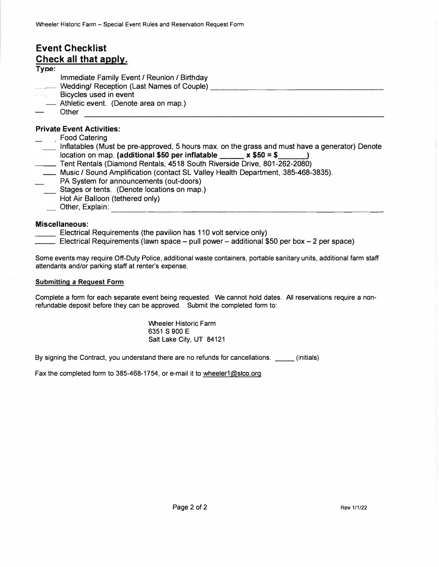## **Event Checklist Check all that apply.**

## **Type:**

- Immediate Family Event/ Reunion/ Birthday
- Wedding/ Reception (Last Names of Couple) **Wedding** Network and the second second the second of Couple 3
- Bicycles used in event
- **Athletic event.** (Denote area on map.)
- Other

## **Private Event Activities:**

- Food Catering
- Inflatables (Must be pre-approved, 5 hours max. on the grass and must have a generator) Denote location on map. **(additional \$50 per inflatable \_\_\_\_\_ x \$50 = \$** \_\_\_\_\_\_**)**
- Tent Rentals (Diamond Rentals, 4518 South Riverside Drive, 801-262-2080)
- Music/ Sound Amplification (contact SL Valley Health Department, 385-468-3835).
- PA System for announcements (out-doors)
- Stages or tents. (Denote locations on map.)
- Hot Air Balloon (tethered only)<br>
Sther, Explain:
- Other, Explain: ------------------------ ----- --

## **Miscellaneous:**

- $\equiv$  Electrical Requirements (the pavilion has 110 volt service only)
- \_\_ Electrical Requirements (lawn space pull power additional \$50 per box 2 per space)

Some events may require Off-Duty Police, additional waste containers, portable sanitary units, additional farm staff attendants and/or parking staff at renter's expense.

## **Submitting a Request Form**

Complete a form for each separate event being requested. We cannot hold dates. All reservations require a nonrefundable deposit before they can be approved. Submit the completed form to:

> Wheeler Historic Farm 6351 S 900 E Salt Lake City, UT 84121

By signing the Contract, you understand there are no refunds for cancellations. (initials)

Fax the completed form to 385-468-1754, or e-mail it to wheeler1@slco.org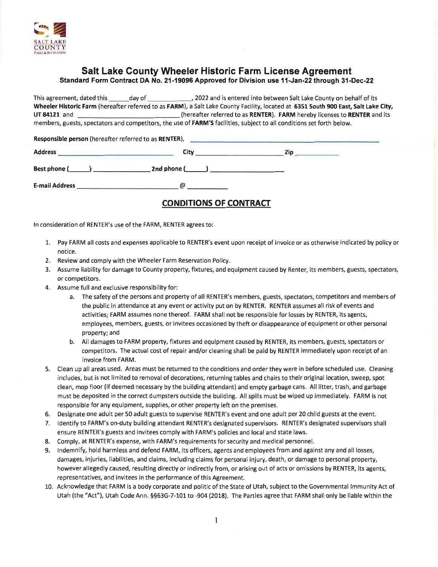

# Salt Lake County Wheeler Historic Farm License Agreement

Standard Form Contract DA No. 21-19096 Approved for Division use 11-Jan-22 through 31-Dec-22

..., 2022 and is entered into between Salt Lake County on behalf of its This agreement, dated this day of Wheeler Historic Farm (hereafter referred to as FARM), a Salt Lake County Facility, located at 6351 South 900 East, Salt Lake City, (hereafter referred to as RENTER). FARM hereby licenses to RENTER and its UT 84121 and members, guests, spectators and competitors, the use of FARM'S facilities, subject to all conditions set forth below.

| Responsible person (hereafter referred to as RENTER), |      |     |
|-------------------------------------------------------|------|-----|
| Address                                               | City | Zip |
| Best phone (_______) ______                           |      |     |
| <b>E-mail Address</b>                                 | ω    |     |

## **CONDITIONS OF CONTRACT**

In consideration of RENTER's use of the FARM, RENTER agrees to:

- 1. Pay FARM all costs and expenses applicable to RENTER's event upon receipt of invoice or as otherwise indicated by policy or notice.
- 2. Review and comply with the Wheeler Farm Reservation Policy.
- 3. Assume liability for damage to County property, fixtures, and equipment caused by Renter, its members, guests, spectators, or competitors.
- 4. Assume full and exclusive responsibility for:
	- a. The safety of the persons and property of all RENTER's members, guests, spectators, competitors and members of the public in attendance at any event or activity put on by RENTER. RENTER assumes all risk of events and activities; FARM assumes none thereof. FARM shall not be responsible for losses by RENTER, its agents, employees, members, guests, or invitees occasioned by theft or disappearance of equipment or other personal property; and
	- b. All damages to FARM property, fixtures and equipment caused by RENTER, its members, guests, spectators or competitors. The actual cost of repair and/or cleaning shall be paid by RENTER immediately upon receipt of an invoice from FARM.
- 5. Clean up all areas used. Areas must be returned to the conditions and order they were in before scheduled use. Cleaning includes, but is not limited to removal of decorations, returning tables and chairs to their original location, sweep, spot clean, mop floor (if deemed necessary by the building attendant) and empty garbage cans. All litter, trash, and garbage must be deposited in the correct dumpsters outside the building. All spills must be wiped up immediately. FARM is not responsible for any equipment, supplies, or other property left on the premises.
- 6. Designate one adult per 50 adult guests to supervise RENTER's event and one adult per 20 child guests at the event.
- 7. Identify to FARM's on-duty building attendant RENTER's designated supervisors. RENTER's designated supervisors shall ensure RENTER's guests and invitees comply with FARM's policies and local and state laws.
- Comply, at RENTER's expense, with FARM's requirements for security and medical personnel. 8.
- Indemnify, hold harmless and defend FARM, its officers, agents and employees from and against any and all losses, 9. damages, injuries, liabilities, and claims, including claims for personal injury, death, or damage to personal property, however allegedly caused, resulting directly or indirectly from, or arising out of acts or omissions by RENTER, its agents, representatives, and invitees in the performance of this Agreement.
- 10. Acknowledge that FARM is a body corporate and politic of the State of Utah, subject to the Governmental Immunity Act of Utah (the "Act"), Utah Code Ann. §§63G-7-101 to -904 (2018). The Parties agree that FARM shall only be liable within the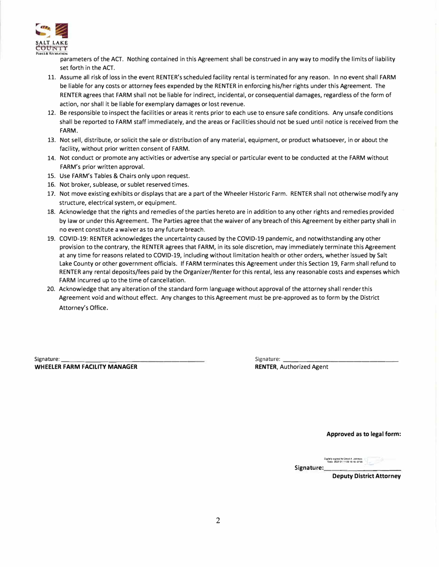

parameters of the ACT. Nothing contained in this Agreement shall be construed in any way to modify the limits of liability set forth in the ACT.

- 11. Assume all risk of loss in the event RENTER's scheduled facility rental is terminated for any reason. In no event shall FARM be liable for any costs or attorney fees expended by the RENTER in enforcing his/her rights under this Agreement. The RENTER agrees that FARM shall not be liable for indirect, incidental, or consequential damages, regardless of the form of action, nor shall it be liable for exemplary damages or lost revenue.
- 12. Be responsible to inspect the facilities or areas it rents prior to each use to ensure safe conditions. Any unsafe conditions shall be reported to FARM staff immediately, and the areas or Facilities should not be sued until notice is received from the **FARM.**
- 13. Not sell, distribute, or solicit the sale or distribution of any material, equipment, or product whatsoever, in or about the facility, without prior written consent of FARM.
- 14. Not conduct or promote any activities or advertise any special or particular event to be conducted at the FARM without FARM's prior written approval.
- 15. Use FARM's Tables & Chairs only upon request.
- 16. Not broker, sublease, or sublet reserved times.
- 17. Not move existing exhibits or displays that are a part of the Wheeler Historic Farm. RENTER shall not otherwise modify any structure, electrical system, or equipment.
- 18. Acknowledge that the rights and remedies of the parties hereto are in addition to any other rights and remedies provided by law or under this Agreement. The Parties agree that the waiver of any breach of this Agreement by either party shall in no event constitute a waiver as to any future breach.
- 19. COVID-19: RENTER acknowledges the uncertainty caused by the COVID-19 pandemic, and notwithstanding any other provision to the contrary, the RENTER agrees that FARM, in its sole discretion, may immediately terminate this Agreement at any time for reasons related to COVID-19, including without limitation health or other orders, whether issued by Salt Lake County or other government officials. If FARM terminates this Agreement under this Section 19, Farm shall refund to RENTER any rental deposits/fees paid by the Organizer/Renter for this rental, less any reasonable costs and expenses which FARM incurred up to the time of cancellation.
- 20. Acknowledge that any alteration of the standard form language without approval of the attorney shall render this Agreement void and without effect. Any changes to this Agreement must be pre-approved as to form by the District Attorney's Office.

Signature: **WHEELER FARM FACILITY MANAGER**  Signature: **RENTER,** Authorized Agent

**Approved as to legal form:** 

**�!alryaign11dbyD8\lldA.Jorn,on 'Oato202201110919:1a--0roo**  Signature:

**Deputy District Attorney**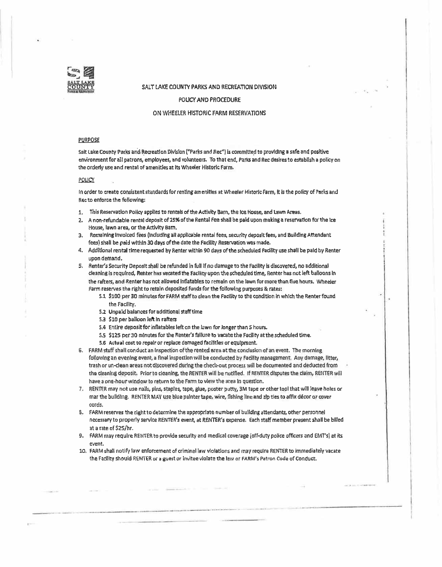

### SALT LAKE COUNTY PARKS AND RECREATION DIVISION

POLICY AND PROCEDURE

### ON WHEELER HISTORIC FARM RESERVATIONS

#### **PURPOSE**

Salt Lake County Parks and Recreation Division ("Parks and Rec") is committed to providing a safe and positive environment for alt patrons, employees, and volunteers. To that end, Parks and Rec desires to establish a policy on the orderly use and rental of amenities at Its Wheeler Historic Farm,

#### POLICY

In order to create consistent standards for renting am enitles at Wheeler Historic Farm, It Is the policy of Parks and Rec to enforce the following:

- 1. This Reservation Policy applies to rentals of the Activity Barn, the lee **House,** and **lawn** Areas.
- 2, A non•refundable rental deposit of 25% of the Rental Fee shall be paid upon **making** a reservation **fat** the Jee House, lawn area, or the Activity Barn.
- **3. Remaining** Invoiced fees **(tncluc:ifng all** applicable rental **fees,** security **deposit** fees, and **Building** Attendant fees) shall be paid wtthln 30 days of the date the Facility **Reservation** was made,
- 4. Addlllcnal rental time requasted **by** Renter within 90 days of the scheduled **Facility** use shall be paid by Renter upon demand.
- 5, Renter's Security Deposit st,all *be* refunded in full if no damage to the Facility is discovered, no additional cle:1nlng Is required, Rehter has vacated the Facllity upon the scheduled time, Renter has net left balloons in the rafters, and Renter has not allowed Inflatables to remain on the lawn for more than five hours. Wheeler Farm reserves the right to retain deposited funds **for** the following purposes & rates:
	- 5.1 \$100 per 30 minutes for FARM staff to clean the Facility to the condition in which the Renter **found the** Facility.
	- 5.2 Unpaid balances for additional staff time
	- 5.3 \$10 per balloon left In rafters
	- 5.4 Entire deposit for inflatables left on the lawn for longer than 5 hours.
	- s.s \$125 per 30 minutes for the Renter's **fallure** to vacate the Facility at the scheduled time.
	- 5.6 Actual cost to repair or replace damaged facilities or equipment.
- 6. FARM staff shall conduct an inspection of the rented area at the conclusion of an event. The morning following an evening event, a final inspection will be conducted by Facility management. Any damage, litter, trash or un-clean areas not discovered during the check-out process will be documented and deducted from the cleaning deposit. Prior to cleaning, the RENTER will be notified. If RENTER disputes the claim, RENTER will have a one-hour window to return to the Farm to view the area in question.
- 7. RENll'R may **not** use nails, pins, staples, tape, glue, poster putty, 3M tape or other tool that **will** leave holes or mar the bulldlng. RENTER MAV use blue painter tape, wire, flshlng line and zip ties to affix **decor** or cover cords,
- s. FARM reserves the right to determine the appropriate number of building **attendants,** other personnel necessary to properly service RENTER's event, at RENTER'S expense. Each staff member present shall be **bllled** at a rate of \$25/hr.
- 9. FARM may require RENTER to provide security and medical coverage (off-duty police officers and EMT's) at its eveht.
- 10, FARM shall notify !aw enforcement of criminal law violations and mav require RENTER to immediately vacate the Facllity should RENTER or a guest or invitee violate the law or FARM's Patron Code of Conduct.